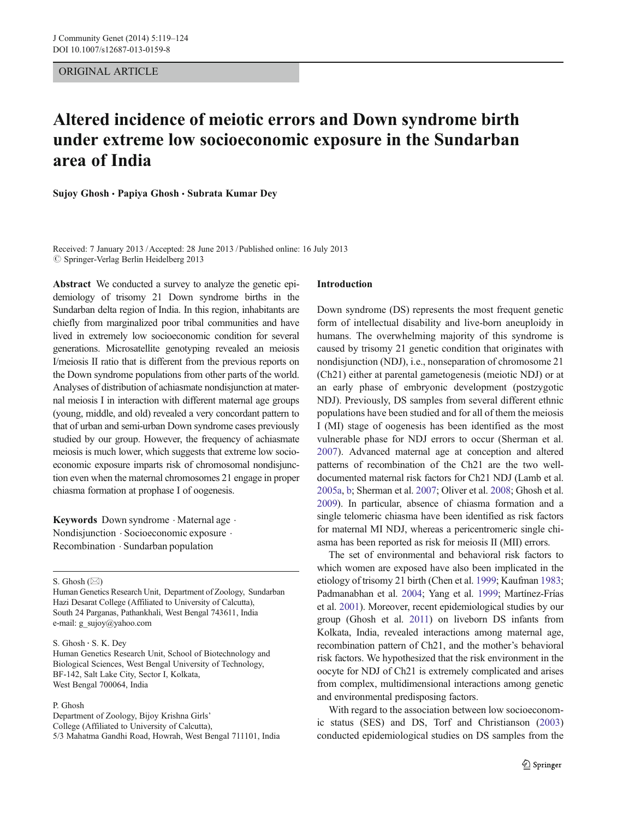ORIGINAL ARTICLE

# Altered incidence of meiotic errors and Down syndrome birth under extreme low socioeconomic exposure in the Sundarban area of India

Sujoy Ghosh & Papiya Ghosh & Subrata Kumar Dey

Received: 7 January 2013 /Accepted: 28 June 2013 / Published online: 16 July 2013  $\oslash$  Springer-Verlag Berlin Heidelberg 2013

Abstract We conducted a survey to analyze the genetic epidemiology of trisomy 21 Down syndrome births in the Sundarban delta region of India. In this region, inhabitants are chiefly from marginalized poor tribal communities and have lived in extremely low socioeconomic condition for several generations. Microsatellite genotyping revealed an meiosis I/meiosis II ratio that is different from the previous reports on the Down syndrome populations from other parts of the world. Analyses of distribution of achiasmate nondisjunction at maternal meiosis I in interaction with different maternal age groups (young, middle, and old) revealed a very concordant pattern to that of urban and semi-urban Down syndrome cases previously studied by our group. However, the frequency of achiasmate meiosis is much lower, which suggests that extreme low socioeconomic exposure imparts risk of chromosomal nondisjunction even when the maternal chromosomes 21 engage in proper chiasma formation at prophase I of oogenesis.

Keywords Down syndrome · Maternal age · Nondisjunction . Socioeconomic exposure . Recombination . Sundarban population

S. Ghosh  $(\boxtimes)$ 

Human Genetics Research Unit, Department of Zoology, Sundarban Hazi Desarat College (Affiliated to University of Calcutta), South 24 Parganas, Pathankhali, West Bengal 743611, India e-mail: g\_sujoy@yahoo.com

S. Ghosh : S. K. Dey

Human Genetics Research Unit, School of Biotechnology and Biological Sciences, West Bengal University of Technology, BF-142, Salt Lake City, Sector I, Kolkata, West Bengal 700064, India

#### P. Ghosh

Department of Zoology, Bijoy Krishna Girls' College (Affiliated to University of Calcutta), 5/3 Mahatma Gandhi Road, Howrah, West Bengal 711101, India

## Introduction

Down syndrome (DS) represents the most frequent genetic form of intellectual disability and live-born aneuploidy in humans. The overwhelming majority of this syndrome is caused by trisomy 21 genetic condition that originates with nondisjunction (NDJ), i.e., nonseparation of chromosome 21 (Ch21) either at parental gametogenesis (meiotic NDJ) or at an early phase of embryonic development (postzygotic NDJ). Previously, DS samples from several different ethnic populations have been studied and for all of them the meiosis I (MI) stage of oogenesis has been identified as the most vulnerable phase for NDJ errors to occur (Sherman et al. [2007](#page-5-0)). Advanced maternal age at conception and altered patterns of recombination of the Ch21 are the two welldocumented maternal risk factors for Ch21 NDJ (Lamb et al. [2005a,](#page-5-0) [b;](#page-5-0) Sherman et al. [2007](#page-5-0); Oliver et al. [2008](#page-5-0); Ghosh et al. [2009\)](#page-5-0). In particular, absence of chiasma formation and a single telomeric chiasma have been identified as risk factors for maternal MI NDJ, whereas a pericentromeric single chiasma has been reported as risk for meiosis II (MII) errors.

The set of environmental and behavioral risk factors to which women are exposed have also been implicated in the etiology of trisomy 21 birth (Chen et al. [1999](#page-4-0); Kaufman [1983;](#page-5-0) Padmanabhan et al. [2004;](#page-5-0) Yang et al. [1999;](#page-5-0) Martínez-Frías et al. [2001](#page-5-0)). Moreover, recent epidemiological studies by our group (Ghosh et al. [2011\)](#page-5-0) on liveborn DS infants from Kolkata, India, revealed interactions among maternal age, recombination pattern of Ch21, and the mother's behavioral risk factors. We hypothesized that the risk environment in the oocyte for NDJ of Ch21 is extremely complicated and arises from complex, multidimensional interactions among genetic and environmental predisposing factors.

With regard to the association between low socioeconomic status (SES) and DS, Torf and Christianson [\(2003](#page-5-0)) conducted epidemiological studies on DS samples from the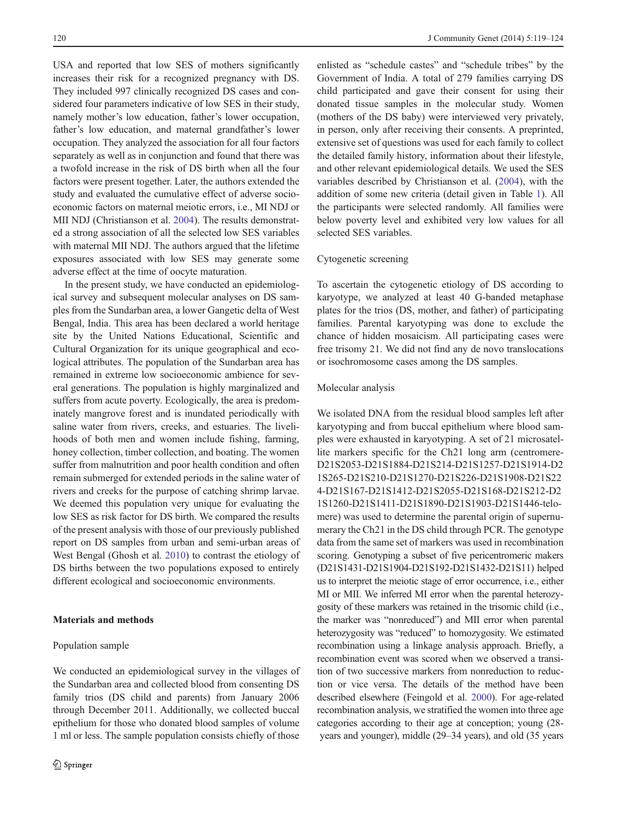USA and reported that low SES of mothers significantly increases their risk for a recognized pregnancy with DS. They included 997 clinically recognized DS cases and considered four parameters indicative of low SES in their study, namely mother's low education, father's lower occupation, father's low education, and maternal grandfather's lower occupation. They analyzed the association for all four factors separately as well as in conjunction and found that there was a twofold increase in the risk of DS birth when all the four factors were present together. Later, the authors extended the study and evaluated the cumulative effect of adverse socioeconomic factors on maternal meiotic errors, i.e., MI NDJ or MII NDJ (Christianson et al. [2004](#page-4-0)). The results demonstrated a strong association of all the selected low SES variables with maternal MII NDJ. The authors argued that the lifetime exposures associated with low SES may generate some adverse effect at the time of oocyte maturation.

In the present study, we have conducted an epidemiological survey and subsequent molecular analyses on DS samples from the Sundarban area, a lower Gangetic delta of West Bengal, India. This area has been declared a world heritage site by the United Nations Educational, Scientific and Cultural Organization for its unique geographical and ecological attributes. The population of the Sundarban area has remained in extreme low socioeconomic ambience for several generations. The population is highly marginalized and suffers from acute poverty. Ecologically, the area is predominately mangrove forest and is inundated periodically with saline water from rivers, creeks, and estuaries. The livelihoods of both men and women include fishing, farming, honey collection, timber collection, and boating. The women suffer from malnutrition and poor health condition and often remain submerged for extended periods in the saline water of rivers and creeks for the purpose of catching shrimp larvae. We deemed this population very unique for evaluating the low SES as risk factor for DS birth. We compared the results of the present analysis with those of our previously published report on DS samples from urban and semi-urban areas of West Bengal (Ghosh et al. [2010](#page-4-0)) to contrast the etiology of DS births between the two populations exposed to entirely different ecological and socioeconomic environments.

### Materials and methods

#### Population sample

We conducted an epidemiological survey in the villages of the Sundarban area and collected blood from consenting DS family trios (DS child and parents) from January 2006 through December 2011. Additionally, we collected buccal epithelium for those who donated blood samples of volume 1 ml or less. The sample population consists chiefly of those

enlisted as "schedule castes" and "schedule tribes" by the Government of India. A total of 279 families carrying DS child participated and gave their consent for using their donated tissue samples in the molecular study. Women (mothers of the DS baby) were interviewed very privately, in person, only after receiving their consents. A preprinted, extensive set of questions was used for each family to collect the detailed family history, information about their lifestyle, and other relevant epidemiological details. We used the SES variables described by Christianson et al. ([2004\)](#page-4-0), with the addition of some new criteria (detail given in Table [1\)](#page-2-0). All the participants were selected randomly. All families were below poverty level and exhibited very low values for all selected SES variables.

### Cytogenetic screening

To ascertain the cytogenetic etiology of DS according to karyotype, we analyzed at least 40 G-banded metaphase plates for the trios (DS, mother, and father) of participating families. Parental karyotyping was done to exclude the chance of hidden mosaicism. All participating cases were free trisomy 21. We did not find any de novo translocations or isochromosome cases among the DS samples.

## Molecular analysis

We isolated DNA from the residual blood samples left after karyotyping and from buccal epithelium where blood samples were exhausted in karyotyping. A set of 21 microsatellite markers specific for the Ch21 long arm (centromere-D21S2053-D21S1884-D21S214-D21S1257-D21S1914-D2 1S265-D21S210-D21S1270-D21S226-D21S1908-D21S22 4-D21S167-D21S1412-D21S2055-D21S168-D21S212-D2 1S1260-D21S1411-D21S1890-D21S1903-D21S1446-telomere) was used to determine the parental origin of supernumerary the Ch21 in the DS child through PCR. The genotype data from the same set of markers was used in recombination scoring. Genotyping a subset of five pericentromeric makers (D21S1431-D21S1904-D21S192-D21S1432-D21S11) helped us to interpret the meiotic stage of error occurrence, i.e., either MI or MII. We inferred MI error when the parental heterozygosity of these markers was retained in the trisomic child (i.e., the marker was "nonreduced") and MII error when parental heterozygosity was "reduced" to homozygosity. We estimated recombination using a linkage analysis approach. Briefly, a recombination event was scored when we observed a transition of two successive markers from nonreduction to reduction or vice versa. The details of the method have been described elsewhere (Feingold et al. [2000\)](#page-4-0). For age-related recombination analysis, we stratified the women into three age categories according to their age at conception; young (28 years and younger), middle (29–34 years), and old (35 years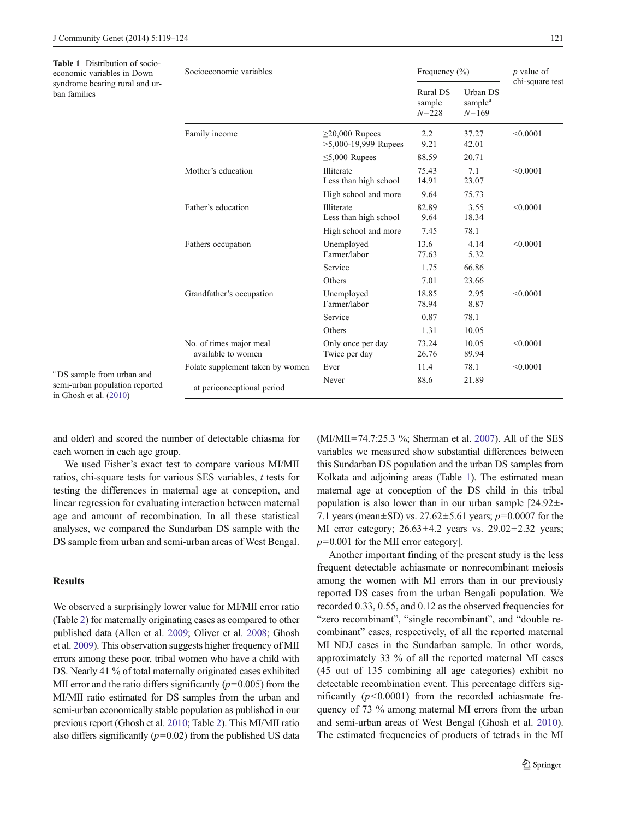<span id="page-2-0"></span>Table 1 Distribution of socioeconomic variables in Down syndrome bearing rural and urban families

| Socioeconomic variables                       | Frequency $(\% )$                              | $p$ value of                    |                                              |                 |
|-----------------------------------------------|------------------------------------------------|---------------------------------|----------------------------------------------|-----------------|
|                                               |                                                | Rural DS<br>sample<br>$N = 228$ | Urban DS<br>sample <sup>a</sup><br>$N = 169$ | chi-square test |
| Family income                                 | $\geq$ 20,000 Rupees<br>$>5,000-19,999$ Rupees | 2.2<br>9.21                     | 37.27<br>42.01                               | < 0.0001        |
|                                               | $\leq$ 5,000 Rupees                            | 88.59                           | 20.71                                        |                 |
| Mother's education                            | <b>Illiterate</b><br>Less than high school     | 75.43<br>14.91                  | 7.1<br>23.07                                 | < 0.0001        |
|                                               | High school and more                           | 9.64                            | 75.73                                        |                 |
| Father's education                            | Illiterate<br>Less than high school            | 82.89<br>9.64                   | 3.55<br>18.34                                | < 0.0001        |
|                                               | High school and more                           | 7.45                            | 78.1                                         |                 |
| Fathers occupation                            | Unemployed<br>Farmer/labor                     | 13.6<br>77.63                   | 4.14<br>5.32                                 | < 0.0001        |
|                                               | Service                                        | 1.75                            | 66.86                                        |                 |
|                                               | Others                                         | 7.01                            | 23.66                                        |                 |
| Grandfather's occupation                      | Unemployed<br>Farmer/labor                     | 18.85<br>78.94                  | 2.95<br>8.87                                 | < 0.0001        |
|                                               | Service                                        | 0.87                            | 78.1                                         |                 |
|                                               | Others                                         | 1.31                            | 10.05                                        |                 |
| No. of times major meal<br>available to women | Only once per day<br>Twice per day             | 73.24<br>26.76                  | 10.05<br>89.94                               | < 0.0001        |
| Folate supplement taken by women              | Ever                                           | 11.4                            | 78.1                                         | < 0.0001        |
| at periconceptional period                    | Never                                          | 88.6                            | 21.89                                        |                 |

<sup>a</sup> DS sample from urban and semi-urban population reported in Ghosh et al. ([2010\)](#page-4-0)

and older) and scored the number of detectable chiasma for each women in each age group.

We used Fisher's exact test to compare various MI/MII ratios, chi-square tests for various SES variables, t tests for testing the differences in maternal age at conception, and linear regression for evaluating interaction between maternal age and amount of recombination. In all these statistical analyses, we compared the Sundarban DS sample with the DS sample from urban and semi-urban areas of West Bengal.

#### Results

We observed a surprisingly lower value for MI/MII error ratio (Table [2](#page-3-0)) for maternally originating cases as compared to other published data (Allen et al. [2009](#page-4-0); Oliver et al. [2008;](#page-5-0) Ghosh et al. [2009](#page-5-0)). This observation suggests higher frequency of MII errors among these poor, tribal women who have a child with DS. Nearly 41 % of total maternally originated cases exhibited MII error and the ratio differs significantly  $(p=0.005)$  from the MI/MII ratio estimated for DS samples from the urban and semi-urban economically stable population as published in our previous report (Ghosh et al. [2010;](#page-4-0) Table [2\)](#page-3-0). This MI/MII ratio also differs significantly  $(p=0.02)$  from the published US data (MI/MII=74.7:25.3 %; Sherman et al. [2007\)](#page-5-0). All of the SES variables we measured show substantial differences between this Sundarban DS population and the urban DS samples from Kolkata and adjoining areas (Table 1). The estimated mean maternal age at conception of the DS child in this tribal population is also lower than in our urban sample  $[24.92 \pm 1]$ 7.1 years (mean $\pm$ SD) vs. 27.62 $\pm$ 5.61 years; p=0.0007 for the MI error category;  $26.63 \pm 4.2$  years vs.  $29.02 \pm 2.32$  years;  $p=0.001$  for the MII error category].

Another important finding of the present study is the less frequent detectable achiasmate or nonrecombinant meiosis among the women with MI errors than in our previously reported DS cases from the urban Bengali population. We recorded 0.33, 0.55, and 0.12 as the observed frequencies for "zero recombinant", "single recombinant", and "double recombinant" cases, respectively, of all the reported maternal MI NDJ cases in the Sundarban sample. In other words, approximately 33 % of all the reported maternal MI cases (45 out of 135 combining all age categories) exhibit no detectable recombination event. This percentage differs significantly  $(p<0.0001)$  from the recorded achiasmate frequency of 73 % among maternal MI errors from the urban and semi-urban areas of West Bengal (Ghosh et al. [2010\)](#page-4-0). The estimated frequencies of products of tetrads in the MI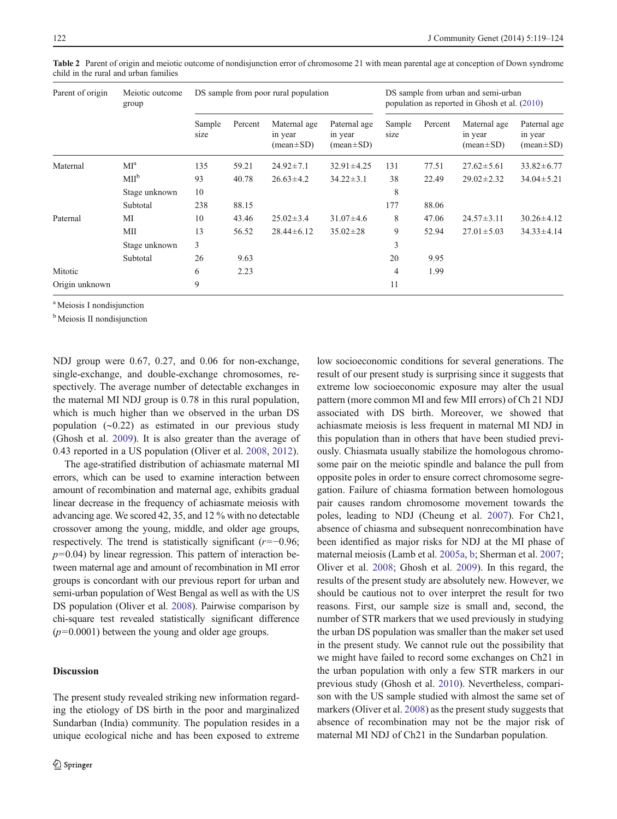| Parent of origin | Meiotic outcome<br>group | DS sample from poor rural population |         |                                                          |                                            | DS sample from urban and semi-urban<br>population as reported in Ghosh et al. (2010) |         |                                                          |                                                          |
|------------------|--------------------------|--------------------------------------|---------|----------------------------------------------------------|--------------------------------------------|--------------------------------------------------------------------------------------|---------|----------------------------------------------------------|----------------------------------------------------------|
|                  |                          | Sample<br>size                       | Percent | Maternal age<br>in year<br>$(\text{mean} \pm \text{SD})$ | Paternal age<br>in year<br>$(mean \pm SD)$ | Sample<br>size                                                                       | Percent | Maternal age<br>in year<br>$(\text{mean} \pm \text{SD})$ | Paternal age<br>in year<br>$(\text{mean} \pm \text{SD})$ |
| Maternal         | MI <sup>a</sup>          | 135                                  | 59.21   | $24.92 \pm 7.1$                                          | $32.91 \pm 4.25$                           | 131                                                                                  | 77.51   | $27.62 \pm 5.61$                                         | $33.82 \pm 6.77$                                         |
|                  | MI <sup>b</sup>          | 93                                   | 40.78   | $26.63 \pm 4.2$                                          | $34.22 \pm 3.1$                            | 38                                                                                   | 22.49   | $29.02 \pm 2.32$                                         | $34.04 \pm 5.21$                                         |
|                  | Stage unknown            | 10                                   |         |                                                          |                                            | 8                                                                                    |         |                                                          |                                                          |
|                  | Subtotal                 | 238                                  | 88.15   |                                                          |                                            | 177                                                                                  | 88.06   |                                                          |                                                          |
| Paternal         | МI                       | 10                                   | 43.46   | $25.02 \pm 3.4$                                          | $31.07 \pm 4.6$                            | 8                                                                                    | 47.06   | $24.57 \pm 3.11$                                         | $30.26 \pm 4.12$                                         |
|                  | МII                      | 13                                   | 56.52   | $28.44 \pm 6.12$                                         | $35.02 \pm 28$                             | 9                                                                                    | 52.94   | $27.01 \pm 5.03$                                         | $34.33 \pm 4.14$                                         |
|                  | Stage unknown            | 3                                    |         |                                                          |                                            | 3                                                                                    |         |                                                          |                                                          |
|                  | Subtotal                 | 26                                   | 9.63    |                                                          |                                            | 20                                                                                   | 9.95    |                                                          |                                                          |
| Mitotic          |                          | 6                                    | 2.23    |                                                          |                                            | 4                                                                                    | 1.99    |                                                          |                                                          |
| Origin unknown   |                          | 9                                    |         |                                                          |                                            | 11                                                                                   |         |                                                          |                                                          |

<span id="page-3-0"></span>Table 2 Parent of origin and meiotic outcome of nondisjunction error of chromosome 21 with mean parental age at conception of Down syndrome child in the rural and urban families

<sup>a</sup> Meiosis I nondisjunction

<sup>b</sup> Meiosis II nondisjunction

NDJ group were 0.67, 0.27, and 0.06 for non-exchange, single-exchange, and double-exchange chromosomes, respectively. The average number of detectable exchanges in the maternal MI NDJ group is 0.78 in this rural population, which is much higher than we observed in the urban DS population (∼0.22) as estimated in our previous study (Ghosh et al. [2009\)](#page-5-0). It is also greater than the average of 0.43 reported in a US population (Oliver et al. [2008,](#page-5-0) [2012\)](#page-5-0).

The age-stratified distribution of achiasmate maternal MI errors, which can be used to examine interaction between amount of recombination and maternal age, exhibits gradual linear decrease in the frequency of achiasmate meiosis with advancing age. We scored 42, 35, and 12 % with no detectable crossover among the young, middle, and older age groups, respectively. The trend is statistically significant  $(r=-0.96;$  $p=0.04$ ) by linear regression. This pattern of interaction between maternal age and amount of recombination in MI error groups is concordant with our previous report for urban and semi-urban population of West Bengal as well as with the US DS population (Oliver et al. [2008](#page-5-0)). Pairwise comparison by chi-square test revealed statistically significant difference  $(p=0.0001)$  between the young and older age groups.

## Discussion

The present study revealed striking new information regarding the etiology of DS birth in the poor and marginalized Sundarban (India) community. The population resides in a unique ecological niche and has been exposed to extreme low socioeconomic conditions for several generations. The result of our present study is surprising since it suggests that extreme low socioeconomic exposure may alter the usual pattern (more common MI and few MII errors) of Ch 21 NDJ associated with DS birth. Moreover, we showed that achiasmate meiosis is less frequent in maternal MI NDJ in this population than in others that have been studied previously. Chiasmata usually stabilize the homologous chromosome pair on the meiotic spindle and balance the pull from opposite poles in order to ensure correct chromosome segregation. Failure of chiasma formation between homologous pair causes random chromosome movement towards the poles, leading to NDJ (Cheung et al. [2007\)](#page-4-0). For Ch21, absence of chiasma and subsequent nonrecombination have been identified as major risks for NDJ at the MI phase of maternal meiosis (Lamb et al. [2005a,](#page-5-0) [b](#page-5-0); Sherman et al. [2007;](#page-5-0) Oliver et al. [2008;](#page-5-0) Ghosh et al. [2009\)](#page-5-0). In this regard, the results of the present study are absolutely new. However, we should be cautious not to over interpret the result for two reasons. First, our sample size is small and, second, the number of STR markers that we used previously in studying the urban DS population was smaller than the maker set used in the present study. We cannot rule out the possibility that we might have failed to record some exchanges on Ch21 in the urban population with only a few STR markers in our previous study (Ghosh et al. [2010](#page-4-0)). Nevertheless, comparison with the US sample studied with almost the same set of markers (Oliver et al. [2008\)](#page-5-0) as the present study suggests that absence of recombination may not be the major risk of maternal MI NDJ of Ch21 in the Sundarban population.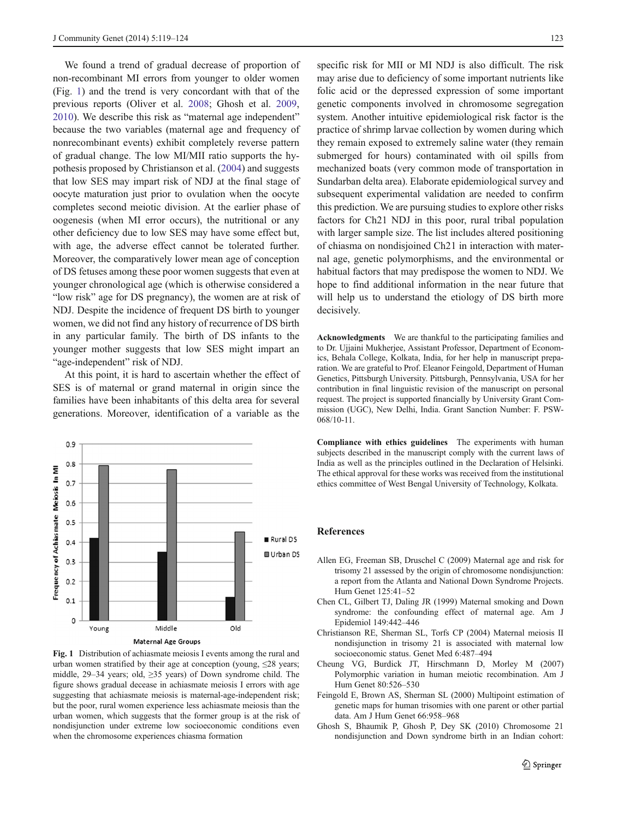<span id="page-4-0"></span>We found a trend of gradual decrease of proportion of non-recombinant MI errors from younger to older women (Fig. 1) and the trend is very concordant with that of the previous reports (Oliver et al. [2008;](#page-5-0) Ghosh et al. [2009,](#page-5-0) 2010). We describe this risk as "maternal age independent" because the two variables (maternal age and frequency of nonrecombinant events) exhibit completely reverse pattern of gradual change. The low MI/MII ratio supports the hypothesis proposed by Christianson et al. (2004) and suggests that low SES may impart risk of NDJ at the final stage of oocyte maturation just prior to ovulation when the oocyte completes second meiotic division. At the earlier phase of oogenesis (when MI error occurs), the nutritional or any other deficiency due to low SES may have some effect but, with age, the adverse effect cannot be tolerated further. Moreover, the comparatively lower mean age of conception of DS fetuses among these poor women suggests that even at younger chronological age (which is otherwise considered a "low risk" age for DS pregnancy), the women are at risk of NDJ. Despite the incidence of frequent DS birth to younger women, we did not find any history of recurrence of DS birth in any particular family. The birth of DS infants to the younger mother suggests that low SES might impart an "age-independent" risk of NDJ.

At this point, it is hard to ascertain whether the effect of SES is of maternal or grand maternal in origin since the families have been inhabitants of this delta area for several generations. Moreover, identification of a variable as the



Fig. 1 Distribution of achiasmate meiosis I events among the rural and urban women stratified by their age at conception (young,  $\leq 28$  years; middle, 29–34 years; old, ≥35 years) of Down syndrome child. The figure shows gradual decease in achiasmate meiosis I errors with age suggesting that achiasmate meiosis is maternal-age-independent risk; but the poor, rural women experience less achiasmate meiosis than the urban women, which suggests that the former group is at the risk of nondisjunction under extreme low socioeconomic conditions even when the chromosome experiences chiasma formation

specific risk for MII or MI NDJ is also difficult. The risk may arise due to deficiency of some important nutrients like folic acid or the depressed expression of some important genetic components involved in chromosome segregation system. Another intuitive epidemiological risk factor is the practice of shrimp larvae collection by women during which they remain exposed to extremely saline water (they remain submerged for hours) contaminated with oil spills from mechanized boats (very common mode of transportation in Sundarban delta area). Elaborate epidemiological survey and subsequent experimental validation are needed to confirm this prediction. We are pursuing studies to explore other risks factors for Ch21 NDJ in this poor, rural tribal population with larger sample size. The list includes altered positioning of chiasma on nondisjoined Ch21 in interaction with maternal age, genetic polymorphisms, and the environmental or habitual factors that may predispose the women to NDJ. We hope to find additional information in the near future that will help us to understand the etiology of DS birth more decisively.

Acknowledgments We are thankful to the participating families and to Dr. Ujjaini Mukherjee, Assistant Professor, Department of Economics, Behala College, Kolkata, India, for her help in manuscript preparation. We are grateful to Prof. Eleanor Feingold, Department of Human Genetics, Pittsburgh University. Pittsburgh, Pennsylvania, USA for her contribution in final linguistic revision of the manuscript on personal request. The project is supported financially by University Grant Commission (UGC), New Delhi, India. Grant Sanction Number: F. PSW-068/10-11.

Compliance with ethics guidelines The experiments with human subjects described in the manuscript comply with the current laws of India as well as the principles outlined in the Declaration of Helsinki. The ethical approval for these works was received from the institutional ethics committee of West Bengal University of Technology, Kolkata.

#### References

- Allen EG, Freeman SB, Druschel C (2009) Maternal age and risk for trisomy 21 assessed by the origin of chromosome nondisjunction: a report from the Atlanta and National Down Syndrome Projects. Hum Genet 125:41–52
- Chen CL, Gilbert TJ, Daling JR (1999) Maternal smoking and Down syndrome: the confounding effect of maternal age. Am J Epidemiol 149:442–446
- Christianson RE, Sherman SL, Torfs CP (2004) Maternal meiosis II nondisjunction in trisomy 21 is associated with maternal low socioeconomic status. Genet Med 6:487–494
- Cheung VG, Burdick JT, Hirschmann D, Morley M (2007) Polymorphic variation in human meiotic recombination. Am J Hum Genet 80:526–530
- Feingold E, Brown AS, Sherman SL (2000) Multipoint estimation of genetic maps for human trisomies with one parent or other partial data. Am J Hum Genet 66:958–968
- Ghosh S, Bhaumik P, Ghosh P, Dey SK (2010) Chromosome 21 nondisjunction and Down syndrome birth in an Indian cohort: